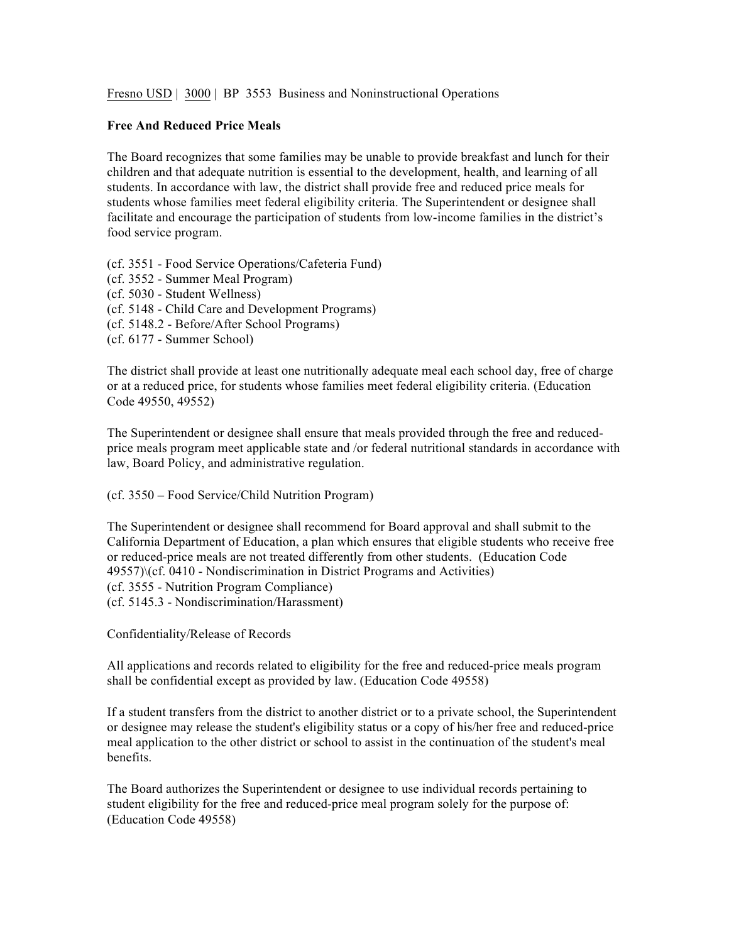Fresno USD | 3000 | BP 3553 Business and Noninstructional Operations

## **Free And Reduced Price Meals**

The Board recognizes that some families may be unable to provide breakfast and lunch for their children and that adequate nutrition is essential to the development, health, and learning of all students. In accordance with law, the district shall provide free and reduced price meals for students whose families meet federal eligibility criteria. The Superintendent or designee shall facilitate and encourage the participation of students from low-income families in the district's food service program.

(cf. 3551 - Food Service Operations/Cafeteria Fund) (cf. 3552 - Summer Meal Program) (cf. 5030 - Student Wellness) (cf. 5148 - Child Care and Development Programs) (cf. 5148.2 - Before/After School Programs) (cf. 6177 - Summer School)

The district shall provide at least one nutritionally adequate meal each school day, free of charge or at a reduced price, for students whose families meet federal eligibility criteria. (Education Code 49550, 49552)

The Superintendent or designee shall ensure that meals provided through the free and reducedprice meals program meet applicable state and /or federal nutritional standards in accordance with law, Board Policy, and administrative regulation.

(cf. 3550 – Food Service/Child Nutrition Program)

The Superintendent or designee shall recommend for Board approval and shall submit to the California Department of Education, a plan which ensures that eligible students who receive free or reduced-price meals are not treated differently from other students. (Education Code 49557)\(cf. 0410 - Nondiscrimination in District Programs and Activities) (cf. 3555 - Nutrition Program Compliance) (cf. 5145.3 - Nondiscrimination/Harassment)

Confidentiality/Release of Records

All applications and records related to eligibility for the free and reduced-price meals program shall be confidential except as provided by law. (Education Code 49558)

If a student transfers from the district to another district or to a private school, the Superintendent or designee may release the student's eligibility status or a copy of his/her free and reduced-price meal application to the other district or school to assist in the continuation of the student's meal benefits.

The Board authorizes the Superintendent or designee to use individual records pertaining to student eligibility for the free and reduced-price meal program solely for the purpose of: (Education Code 49558)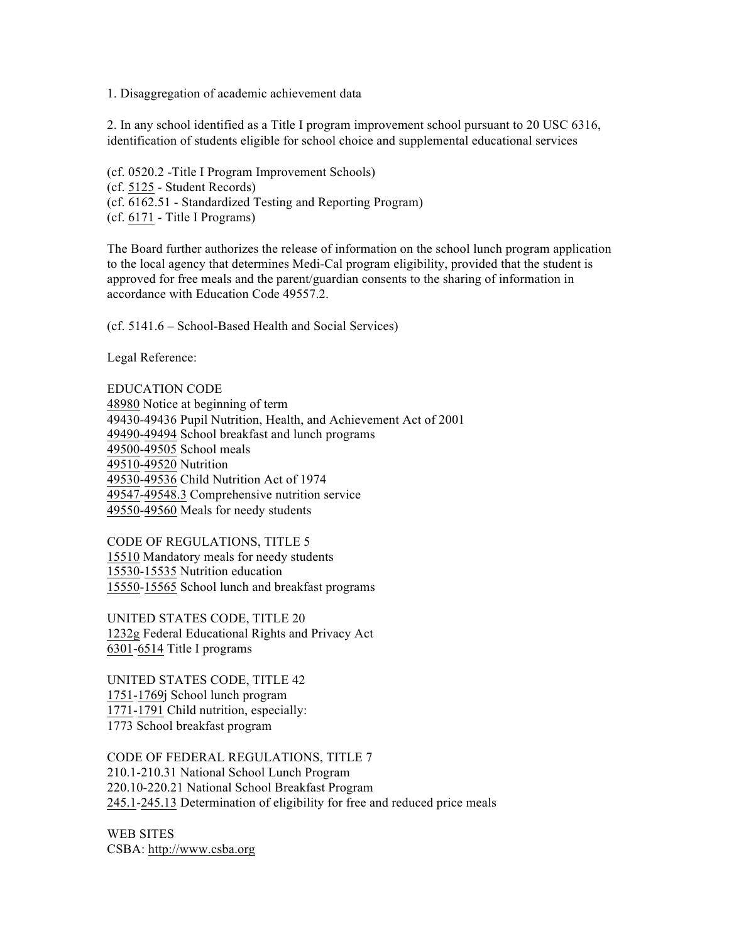1. Disaggregation of academic achievement data

2. In any school identified as a Title I program improvement school pursuant to 20 USC 6316, identification of students eligible for school choice and supplemental educational services

(cf. 0520.2 -Title I Program Improvement Schools) (cf. 5125 - Student Records) (cf. 6162.51 - Standardized Testing and Reporting Program) (cf. 6171 - Title I Programs)

The Board further authorizes the release of information on the school lunch program application to the local agency that determines Medi-Cal program eligibility, provided that the student is approved for free meals and the parent/guardian consents to the sharing of information in accordance with Education Code 49557.2.

(cf. 5141.6 – School-Based Health and Social Services)

Legal Reference:

EDUCATION CODE 48980 Notice at beginning of term 49430-49436 Pupil Nutrition, Health, and Achievement Act of 2001 49490-49494 School breakfast and lunch programs 49500-49505 School meals 49510-49520 Nutrition 49530-49536 Child Nutrition Act of 1974 49547-49548.3 Comprehensive nutrition service 49550-49560 Meals for needy students

CODE OF REGULATIONS, TITLE 5 15510 Mandatory meals for needy students 15530-15535 Nutrition education 15550-15565 School lunch and breakfast programs

UNITED STATES CODE, TITLE 20 1232g Federal Educational Rights and Privacy Act 6301-6514 Title I programs

UNITED STATES CODE, TITLE 42 1751-1769j School lunch program 1771-1791 Child nutrition, especially: 1773 School breakfast program

CODE OF FEDERAL REGULATIONS, TITLE 7 210.1-210.31 National School Lunch Program 220.10-220.21 National School Breakfast Program 245.1-245.13 Determination of eligibility for free and reduced price meals

WEB SITES CSBA: http://www.csba.org